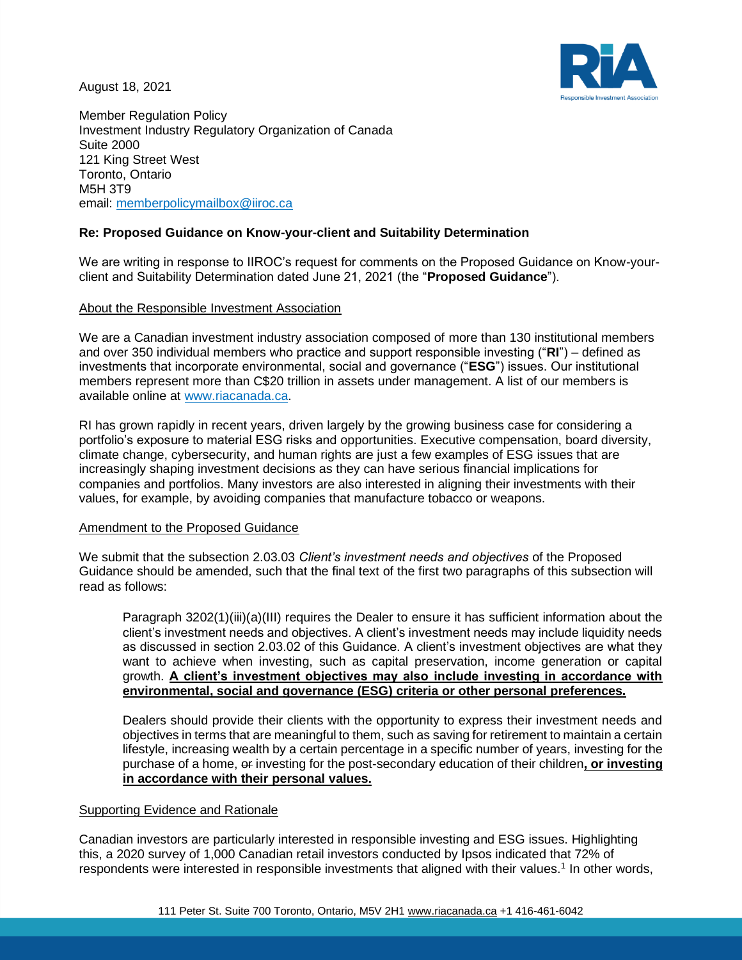August 18, 2021



Member Regulation Policy Investment Industry Regulatory Organization of Canada Suite 2000 121 King Street West Toronto, Ontario M5H 3T9 email: [memberpolicymailbox@iiroc.ca](mailto:memberpolicymailbox@iiroc.ca)

# **Re: Proposed Guidance on Know-your-client and Suitability Determination**

We are writing in response to IIROC's request for comments on the Proposed Guidance on Know-yourclient and Suitability Determination dated June 21, 2021 (the "**Proposed Guidance**").

## About the Responsible Investment Association

We are a Canadian investment industry association composed of more than 130 institutional members and over 350 individual members who practice and support responsible investing ("**RI**") – defined as investments that incorporate environmental, social and governance ("**ESG**") issues. Our institutional members represent more than C\$20 trillion in assets under management. A list of our members is available online at [www.riacanada.ca.](http://www.riacanada.ca/)

RI has grown rapidly in recent years, driven largely by the growing business case for considering a portfolio's exposure to material ESG risks and opportunities. Executive compensation, board diversity, climate change, cybersecurity, and human rights are just a few examples of ESG issues that are increasingly shaping investment decisions as they can have serious financial implications for companies and portfolios. Many investors are also interested in aligning their investments with their values, for example, by avoiding companies that manufacture tobacco or weapons.

## Amendment to the Proposed Guidance

We submit that the subsection 2.03.03 *Client's investment needs and objectives* of the Proposed Guidance should be amended, such that the final text of the first two paragraphs of this subsection will read as follows:

Paragraph 3202(1)(iii)(a)(III) requires the Dealer to ensure it has sufficient information about the client's investment needs and objectives. A client's investment needs may include liquidity needs as discussed in section 2.03.02 of this Guidance. A client's investment objectives are what they want to achieve when investing, such as capital preservation, income generation or capital growth. **A client's investment objectives may also include investing in accordance with environmental, social and governance (ESG) criteria or other personal preferences.**

Dealers should provide their clients with the opportunity to express their investment needs and objectives in terms that are meaningful to them, such as saving for retirement to maintain a certain lifestyle, increasing wealth by a certain percentage in a specific number of years, investing for the purchase of a home, or investing for the post-secondary education of their children**, or investing in accordance with their personal values.**

# Supporting Evidence and Rationale

Canadian investors are particularly interested in responsible investing and ESG issues. Highlighting this, a 2020 survey of 1,000 Canadian retail investors conducted by Ipsos indicated that 72% of respondents were interested in responsible investments that aligned with their values.<sup>1</sup> In other words,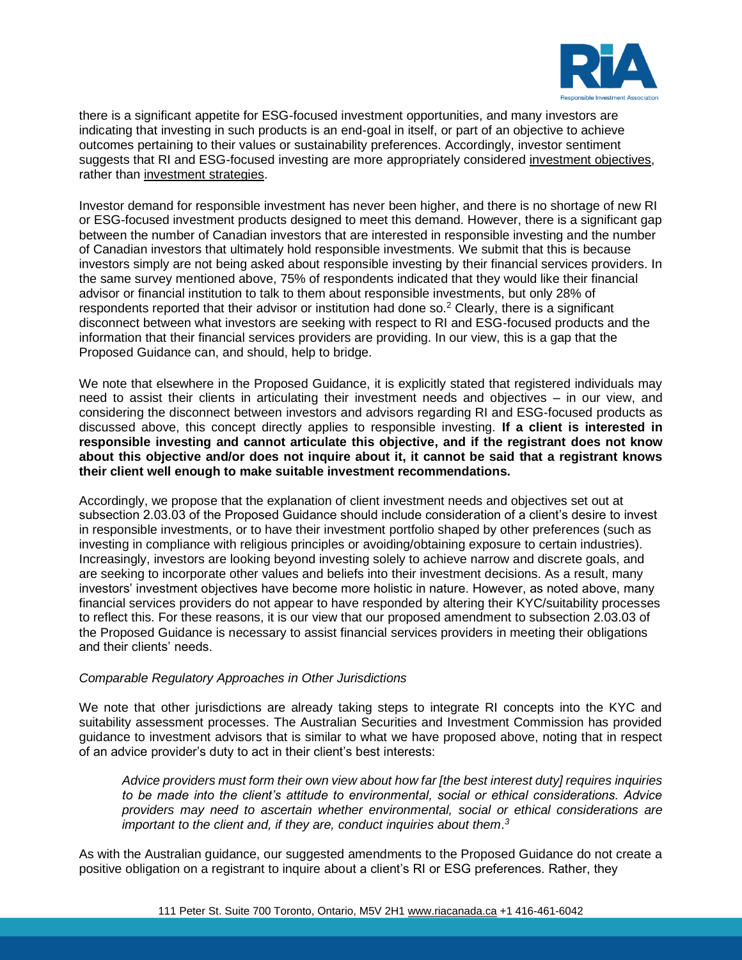

there is a significant appetite for ESG-focused investment opportunities, and many investors are indicating that investing in such products is an end-goal in itself, or part of an objective to achieve outcomes pertaining to their values or sustainability preferences. Accordingly, investor sentiment suggests that RI and ESG-focused investing are more appropriately considered investment objectives, rather than investment strategies.

Investor demand for responsible investment has never been higher, and there is no shortage of new RI or ESG-focused investment products designed to meet this demand. However, there is a significant gap between the number of Canadian investors that are interested in responsible investing and the number of Canadian investors that ultimately hold responsible investments. We submit that this is because investors simply are not being asked about responsible investing by their financial services providers. In the same survey mentioned above, 75% of respondents indicated that they would like their financial advisor or financial institution to talk to them about responsible investments, but only 28% of respondents reported that their advisor or institution had done so.<sup>2</sup> Clearly, there is a significant disconnect between what investors are seeking with respect to RI and ESG-focused products and the information that their financial services providers are providing. In our view, this is a gap that the Proposed Guidance can, and should, help to bridge.

We note that elsewhere in the Proposed Guidance, it is explicitly stated that registered individuals may need to assist their clients in articulating their investment needs and objectives – in our view, and considering the disconnect between investors and advisors regarding RI and ESG-focused products as discussed above, this concept directly applies to responsible investing. **If a client is interested in responsible investing and cannot articulate this objective, and if the registrant does not know about this objective and/or does not inquire about it, it cannot be said that a registrant knows their client well enough to make suitable investment recommendations.** 

Accordingly, we propose that the explanation of client investment needs and objectives set out at subsection 2.03.03 of the Proposed Guidance should include consideration of a client's desire to invest in responsible investments, or to have their investment portfolio shaped by other preferences (such as investing in compliance with religious principles or avoiding/obtaining exposure to certain industries). Increasingly, investors are looking beyond investing solely to achieve narrow and discrete goals, and are seeking to incorporate other values and beliefs into their investment decisions. As a result, many investors' investment objectives have become more holistic in nature. However, as noted above, many financial services providers do not appear to have responded by altering their KYC/suitability processes to reflect this. For these reasons, it is our view that our proposed amendment to subsection 2.03.03 of the Proposed Guidance is necessary to assist financial services providers in meeting their obligations and their clients' needs.

# *Comparable Regulatory Approaches in Other Jurisdictions*

We note that other jurisdictions are already taking steps to integrate RI concepts into the KYC and suitability assessment processes. The Australian Securities and Investment Commission has provided guidance to investment advisors that is similar to what we have proposed above, noting that in respect of an advice provider's duty to act in their client's best interests:

*Advice providers must form their own view about how far [the best interest duty] requires inquiries to be made into the client's attitude to environmental, social or ethical considerations. Advice providers may need to ascertain whether environmental, social or ethical considerations are important to the client and, if they are, conduct inquiries about them*. *3*

As with the Australian guidance, our suggested amendments to the Proposed Guidance do not create a positive obligation on a registrant to inquire about a client's RI or ESG preferences. Rather, they